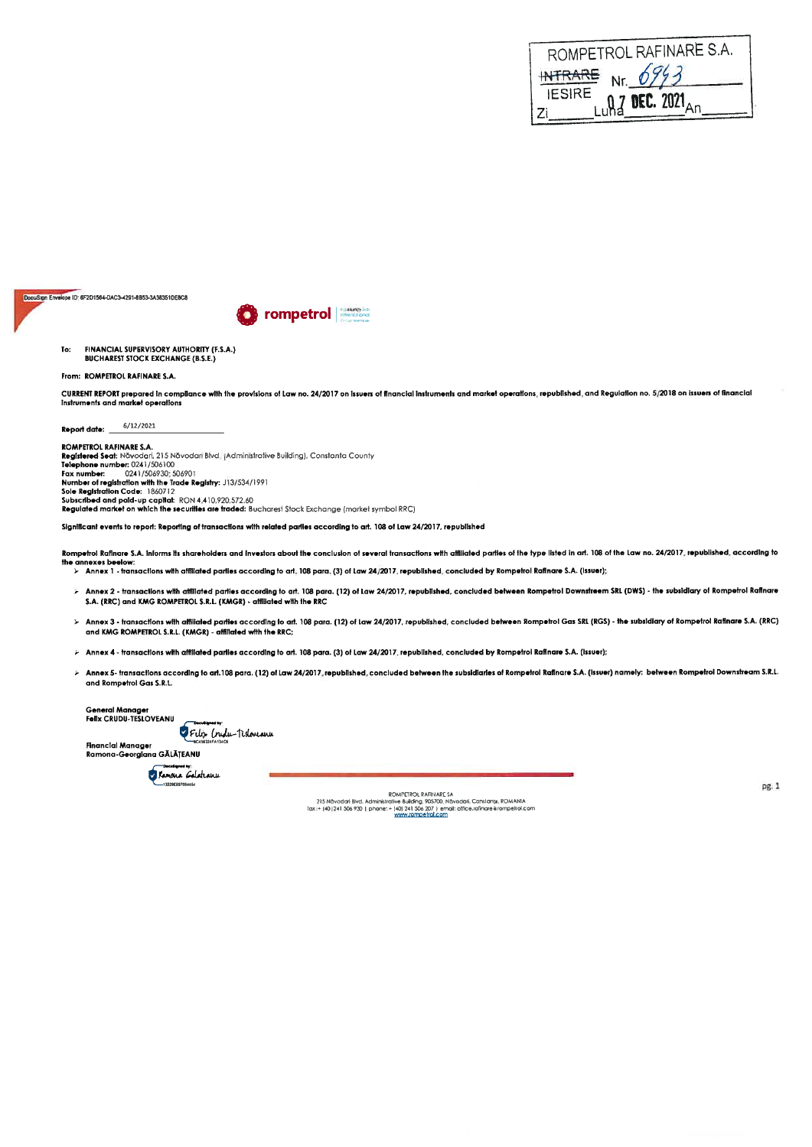| ROMPETROL RAFINARE S.A.                                      |
|--------------------------------------------------------------|
| Nr. 6943<br><b>INTRARE</b>                                   |
| <b>IESIRE</b><br>$Lu$ n <sub>2</sub> DEC. 2021 <sub>An</sub> |
| Zi                                                           |

DocuSign Envelope ID: 6F2D1564-DAC3-4291-8853-3A38351DE8C8



FINANCIAL SUPERVISORY AUTHORITY (F.S.A.) To: **BUCHAREST STOCK EXCHANGE (B.S.E.)** 

### From: ROMPETROL RAFINARE S.A.

CURRENT REPORT prepared in compliance with the provisions of Law no. 24/2017 on issuers of financial instruments and market operations, republished, and Regulation no. 5/2018 on issuers of financial<br>Instruments and market

6/12/2021 Report date:

ROMPETROL RAFINARE S.A. האחד נומצת מחדות את האחר.<br>**Registered Seat**: Navodari, 215 Navodari Blvd. [Administrative Building), Constanta County<br>**Telephone number:** 0241/506100 Fax number: 0241/506930: 506901<br>Number of registration with the Trade Registry: J13/534/1991 Sole Realstration Code: 1860712 Subscribed and paid-up capital: RON 4.410.920.572.60<br>**Subscribed and paid-up capital:** RON 4.410.920.572.60<br>**Regulated market on which the securities are traded:** Bucharest Stock Exchange (market symbol RRC)

Significant events to report: Reporting of transactions with related parties according to art. 108 of Law 24/2017, republished

Rompetrol Rafinare S.A. Informs its shareholders and investors about the conclusion of several transactions with affiliated parties of the type listed in art. 108 of the Law no. 24/2017, republished, according to<br>the annex www.waser.com/<br>> Annex 1 - fransactions with affiliated parties according to art. 108 para. (3) of Law 24/2017, republished, concluded by Rompetrol Rafinare S.A. (issuer):

- Annex 2 transactions with affiliated parties according to art. 108 para. (12) of Law 24/2017, republished, concluded between Rompetrol Downstreem SRL (DWS) the subsidiary of Rompetrol Rafinare<br>S.A. (RRC) and KMG ROMPET
- ≻ Annex 3 transactions with affiliated parties according to art. 108 para. (12) of Law 24/2017, republished, concluded between Rompetrol Gas SRL (RGS) the subsidiary of Rompetrol Rafinare S.A. (RRC)<br>and KMG ROMPETROL
- > Annex 4 transactions with affiliated parties according to art. 108 para. (3) of Law 24/2017, republished, concluded by Rompetrol Rafinare S.A. (Issuer);
- Annex 5- transactions according to art.108 para. (12) of Law 24/2017, republished, concluded between the subsidiaries of Rompetrol Rafinare S.A. (issuer) namely: between Rompetrol Downstream S.R.L. and Rompetrol Gas S.R.L.

General Manager<br>Felix CRUDU-TESLOVEANU

Filip (rudu-Tislouaru

**Financial Manager** Ramona-Georgiana GĂLĂȚEANU

Kamona Galatranu

ROMPEROL RATNARE SA<br>215 Nävadari Bivd, Administrative Building, 905700, Nävadari, Constanty, ROMANIA<br>2002 (1911) 1941 Sos 930 | phone: + (40) 241 Sos 930 | phone: - (1990) 241 Sos (1990)<br>- (1990) www.romoetrol.com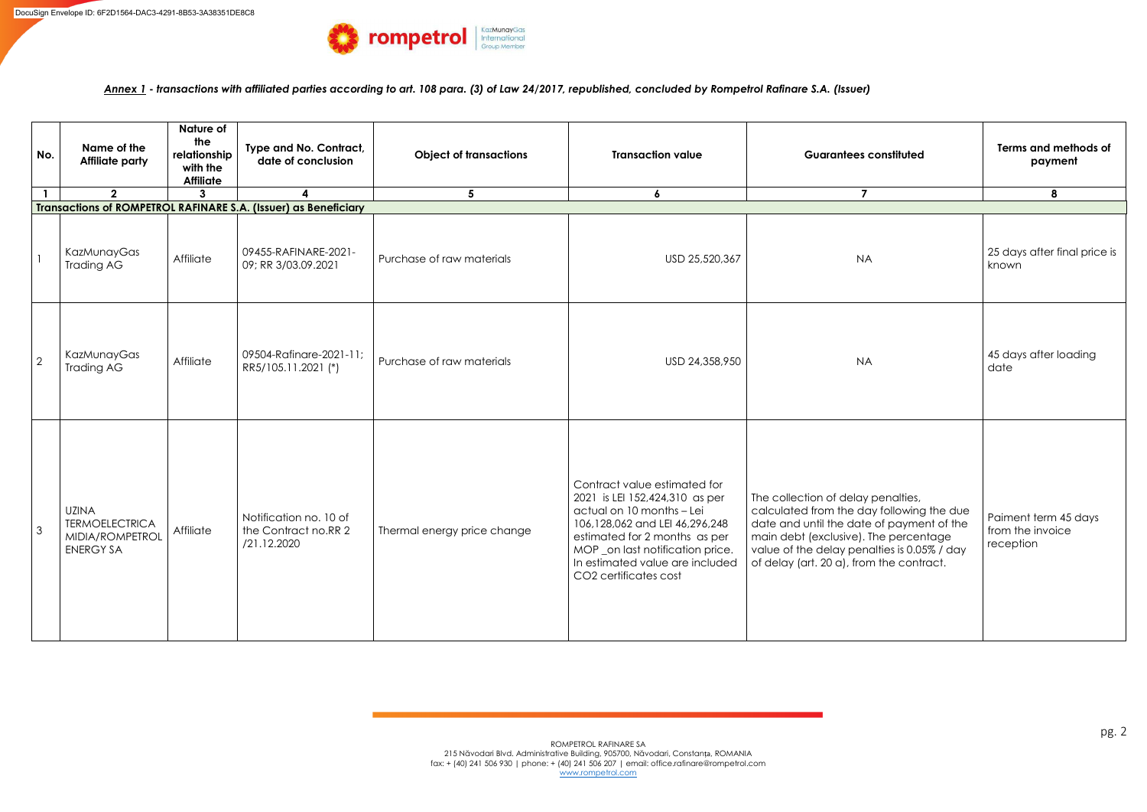*Annex 1* **-** *transactions with affiliated parties according to art. 108 para. (3) of Law 24/2017, republished, concluded by Rompetrol Rafinare S.A. (Issuer)*

| No.            | Name of the<br><b>Affiliate party</b>                                        | Nature of<br>the<br>relationship<br>with the<br><b>Affiliate</b> | Type and No. Contract,<br>date of conclusion                    | <b>Object of transactions</b> | <b>Guarantees constituted</b><br><b>Transaction value</b><br>$\overline{ }$                                                                                                                                                                                    |                                                                                                                                                                                                                                                                  | Terms and methods of<br>payment                       |
|----------------|------------------------------------------------------------------------------|------------------------------------------------------------------|-----------------------------------------------------------------|-------------------------------|----------------------------------------------------------------------------------------------------------------------------------------------------------------------------------------------------------------------------------------------------------------|------------------------------------------------------------------------------------------------------------------------------------------------------------------------------------------------------------------------------------------------------------------|-------------------------------------------------------|
|                | $\overline{2}$                                                               | 3                                                                | $\boldsymbol{\Lambda}$                                          | 5                             | $\boldsymbol{6}$                                                                                                                                                                                                                                               |                                                                                                                                                                                                                                                                  | 8                                                     |
|                |                                                                              |                                                                  | Transactions of ROMPETROL RAFINARE S.A. (Issuer) as Beneficiary |                               |                                                                                                                                                                                                                                                                |                                                                                                                                                                                                                                                                  |                                                       |
|                | KazMunayGas<br><b>Trading AG</b>                                             | Affiliate                                                        | 09455-RAFINARE-2021-<br>09; RR 3/03.09.2021                     | Purchase of raw materials     | USD 25,520,367                                                                                                                                                                                                                                                 | <b>NA</b>                                                                                                                                                                                                                                                        | 25 days after final price is<br>known                 |
| $\overline{2}$ | KazMunayGas<br>Trading AG                                                    | Affiliate                                                        | 09504-Rafinare-2021-11;<br>RR5/105.11.2021 (*)                  | Purchase of raw materials     | USD 24,358,950                                                                                                                                                                                                                                                 | <b>NA</b>                                                                                                                                                                                                                                                        | 45 days after loading<br>date                         |
| $\mathcal{S}$  | <b>UZINA</b><br><b>TERMOELECTRICA</b><br>MIDIA/ROMPETROL<br><b>ENERGY SA</b> | Affiliate                                                        | Notification no. 10 of<br>the Contract no.RR 2<br>/21.12.2020   | Thermal energy price change   | Contract value estimated for<br>2021 is LEI 152,424,310 as per<br>actual on 10 months - Lei<br>106,128,062 and LEI 46,296,248<br>estimated for 2 months as per<br>MOP _on last notification price.<br>In estimated value are included<br>CO2 certificates cost | The collection of delay penalties,<br>calculated from the day following the due<br>date and until the date of payment of the<br>main debt (exclusive). The percentage<br>value of the delay penalties is 0.05% / day<br>of delay (art. 20 a), from the contract. | Paiment term 45 days<br>from the invoice<br>reception |

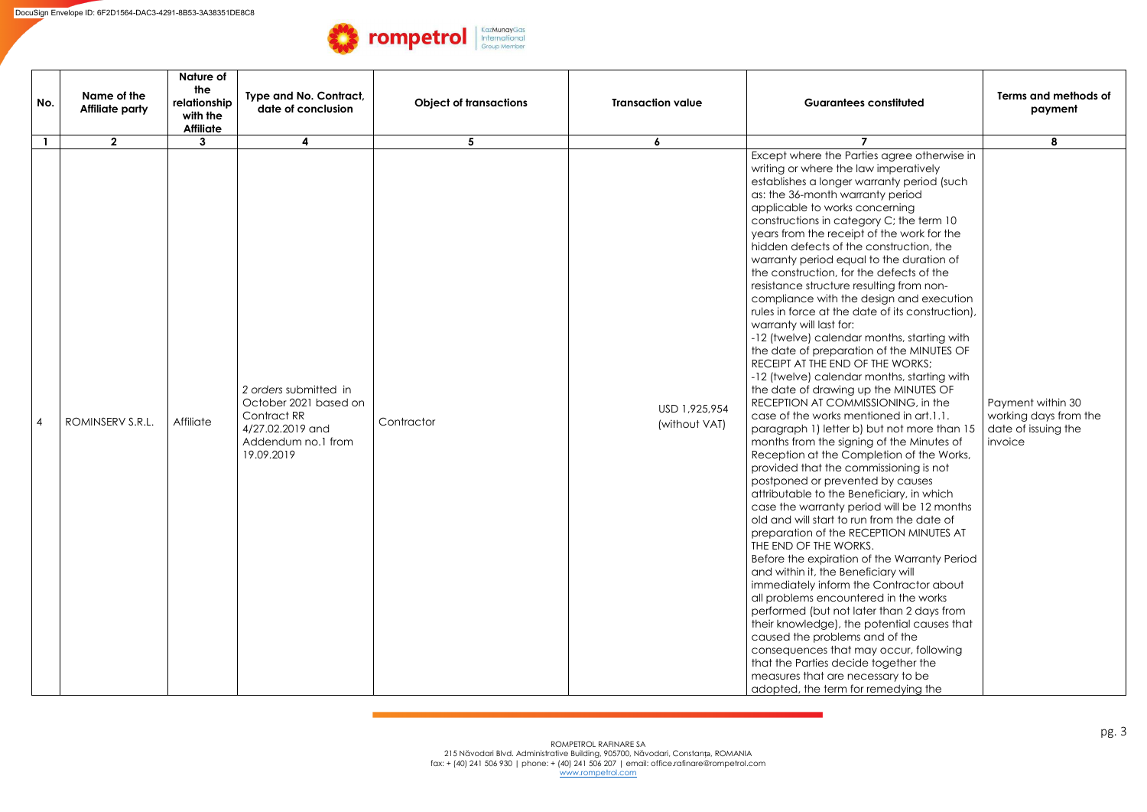| No.          | Name of the<br><b>Affiliate party</b> | Nature of<br>the<br>relationship<br>with the<br><b>Affiliate</b> | Type and No. Contract,<br>date of conclusion                                                                          | <b>Object of transactions</b> | <b>Transaction value</b>       | <b>Guarantees constituted</b>                                                                                                                                                                                                                                                                                                                                                                                                                                                                                                                                                                                                                                                                                                                                                                                                                                                                                                                                                                                                                                                                                                                                                                                                                                                                                                                                                                                                                                                                                                                                                                                                                                                                                                                                                                                                    | Terms and methods of<br>payment                                              |
|--------------|---------------------------------------|------------------------------------------------------------------|-----------------------------------------------------------------------------------------------------------------------|-------------------------------|--------------------------------|----------------------------------------------------------------------------------------------------------------------------------------------------------------------------------------------------------------------------------------------------------------------------------------------------------------------------------------------------------------------------------------------------------------------------------------------------------------------------------------------------------------------------------------------------------------------------------------------------------------------------------------------------------------------------------------------------------------------------------------------------------------------------------------------------------------------------------------------------------------------------------------------------------------------------------------------------------------------------------------------------------------------------------------------------------------------------------------------------------------------------------------------------------------------------------------------------------------------------------------------------------------------------------------------------------------------------------------------------------------------------------------------------------------------------------------------------------------------------------------------------------------------------------------------------------------------------------------------------------------------------------------------------------------------------------------------------------------------------------------------------------------------------------------------------------------------------------|------------------------------------------------------------------------------|
| $\mathbf{1}$ | $\mathbf{2}$                          | 3                                                                |                                                                                                                       | 5                             | 6                              |                                                                                                                                                                                                                                                                                                                                                                                                                                                                                                                                                                                                                                                                                                                                                                                                                                                                                                                                                                                                                                                                                                                                                                                                                                                                                                                                                                                                                                                                                                                                                                                                                                                                                                                                                                                                                                  | 8                                                                            |
| 4            | ROMINSERV S.R.L.                      | Affiliate                                                        | 2 orders submitted in<br>October 2021 based on<br>Contract RR<br>4/27.02.2019 and<br>Addendum no.1 from<br>19.09.2019 | Contractor                    | USD 1,925,954<br>(without VAT) | Except where the Parties agree otherwise in<br>writing or where the law imperatively<br>establishes a longer warranty period (such<br>as: the 36-month warranty period<br>applicable to works concerning<br>constructions in category C; the term 10<br>years from the receipt of the work for the<br>hidden defects of the construction, the<br>warranty period equal to the duration of<br>the construction, for the defects of the<br>resistance structure resulting from non-<br>compliance with the design and execution<br>rules in force at the date of its construction),<br>warranty will last for:<br>-12 (twelve) calendar months, starting with<br>the date of preparation of the MINUTES OF<br>RECEIPT AT THE END OF THE WORKS;<br>-12 (twelve) calendar months, starting with<br>the date of drawing up the MINUTES OF<br>RECEPTION AT COMMISSIONING, in the<br>case of the works mentioned in art.1.1.<br>paragraph 1) letter b) but not more than 15<br>months from the signing of the Minutes of<br>Reception at the Completion of the Works,<br>provided that the commissioning is not<br>postponed or prevented by causes<br>attributable to the Beneficiary, in which<br>case the warranty period will be 12 months<br>old and will start to run from the date of<br>preparation of the RECEPTION MINUTES AT<br>THE END OF THE WORKS.<br>Before the expiration of the Warranty Period<br>and within it, the Beneficiary will<br>immediately inform the Contractor about<br>all problems encountered in the works<br>performed (but not later than 2 days from<br>their knowledge), the potential causes that<br>caused the problems and of the<br>consequences that may occur, following<br>that the Parties decide together the<br>measures that are necessary to be<br>adopted, the term for remedying the | Payment within 30<br>working days from the<br>date of issuing the<br>invoice |

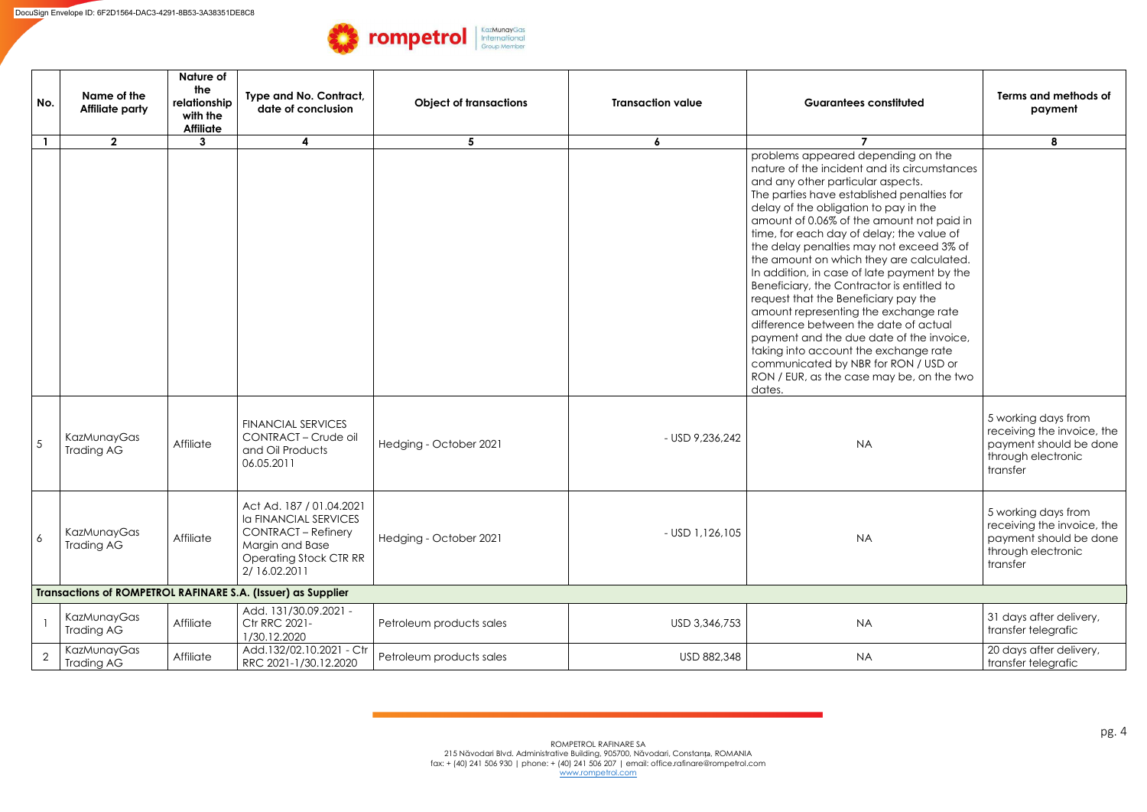| No.            | Name of the<br><b>Affiliate party</b> | Nature of<br>the<br>relationship<br>with the<br><b>Affiliate</b> | Type and No. Contract,<br>date of conclusion                                                                                                                | <b>Object of transactions</b> | <b>Transaction value</b> | <b>Guarantees constituted</b>                                                                                                                                                                                                                                                                                                                                                                                                                                                                                                                                                                                                                                                                                                                                                                               |                                                                                                               |
|----------------|---------------------------------------|------------------------------------------------------------------|-------------------------------------------------------------------------------------------------------------------------------------------------------------|-------------------------------|--------------------------|-------------------------------------------------------------------------------------------------------------------------------------------------------------------------------------------------------------------------------------------------------------------------------------------------------------------------------------------------------------------------------------------------------------------------------------------------------------------------------------------------------------------------------------------------------------------------------------------------------------------------------------------------------------------------------------------------------------------------------------------------------------------------------------------------------------|---------------------------------------------------------------------------------------------------------------|
|                | $\mathbf{2}$                          | $\mathbf{3}$                                                     | $\overline{\mathbf{4}}$                                                                                                                                     | 5 <sup>5</sup>                | $\boldsymbol{6}$         |                                                                                                                                                                                                                                                                                                                                                                                                                                                                                                                                                                                                                                                                                                                                                                                                             | 8                                                                                                             |
|                |                                       |                                                                  |                                                                                                                                                             |                               |                          | problems appeared depending on the<br>nature of the incident and its circumstances<br>and any other particular aspects.<br>The parties have established penalties for<br>delay of the obligation to pay in the<br>amount of 0.06% of the amount not paid in<br>time, for each day of delay; the value of<br>the delay penalties may not exceed 3% of<br>the amount on which they are calculated.<br>In addition, in case of late payment by the<br>Beneficiary, the Contractor is entitled to<br>request that the Beneficiary pay the<br>amount representing the exchange rate<br>difference between the date of actual<br>payment and the due date of the invoice,<br>taking into account the exchange rate<br>communicated by NBR for RON / USD or<br>RON / EUR, as the case may be, on the two<br>dates. |                                                                                                               |
| 5              | KazMunayGas<br>Trading AG             | Affiliate                                                        | <b>FINANCIAL SERVICES</b><br>CONTRACT - Crude oil<br>and Oil Products<br>06.05.2011                                                                         | Hedging - October 2021        | - USD 9,236,242          | <b>NA</b>                                                                                                                                                                                                                                                                                                                                                                                                                                                                                                                                                                                                                                                                                                                                                                                                   | 5 working days from<br>receiving the invoice, the<br>payment should be done<br>through electronic<br>transfer |
| 6              | KazMunayGas<br><b>Trading AG</b>      | Affiliate                                                        | Act Ad. 187 / 01.04.2021<br><b>Ia FINANCIAL SERVICES</b><br><b>CONTRACT - Refinery</b><br>Margin and Base<br><b>Operating Stock CTR RR</b><br>2/ 16.02.2011 | Hedging - October 2021        | $-$ USD 1,126,105        | <b>NA</b>                                                                                                                                                                                                                                                                                                                                                                                                                                                                                                                                                                                                                                                                                                                                                                                                   | 5 working days from<br>receiving the invoice, the<br>payment should be done<br>through electronic<br>transfer |
|                |                                       |                                                                  | Transactions of ROMPETROL RAFINARE S.A. (Issuer) as Supplier                                                                                                |                               |                          |                                                                                                                                                                                                                                                                                                                                                                                                                                                                                                                                                                                                                                                                                                                                                                                                             |                                                                                                               |
|                | KazMunayGas<br>Trading AG             | Affiliate                                                        | Add. 131/30.09.2021 -<br>Ctr RRC 2021-<br>1/30.12.2020                                                                                                      | Petroleum products sales      | USD 3,346,753            | <b>NA</b>                                                                                                                                                                                                                                                                                                                                                                                                                                                                                                                                                                                                                                                                                                                                                                                                   | 31 days after delivery,<br>transfer telegrafic                                                                |
| $\overline{2}$ | KazMunayGas<br><b>Trading AG</b>      | Affiliate                                                        | Add.132/02.10.2021 - Ctr<br>RRC 2021-1/30.12.2020                                                                                                           | Petroleum products sales      | USD 882,348              | <b>NA</b>                                                                                                                                                                                                                                                                                                                                                                                                                                                                                                                                                                                                                                                                                                                                                                                                   | 20 days after delivery,<br>transfer telegrafic                                                                |

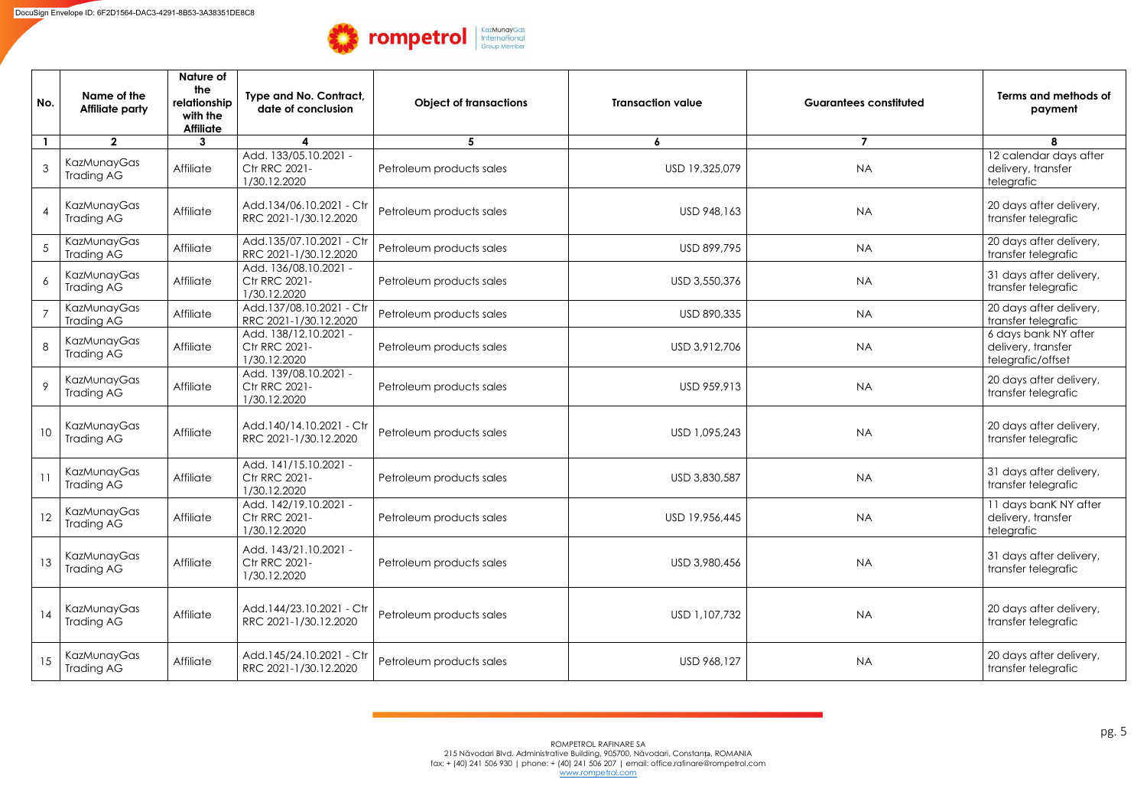| No.          | Name of the<br><b>Affiliate party</b> | Nature of<br>the<br>relationship<br>with the<br><b>Affiliate</b> | Type and No. Contract,<br><b>Object of transactions</b><br>date of conclusion |                          | <b>Transaction value</b> | <b>Guarantees constituted</b> | Terms and methods of<br>payment                                 |
|--------------|---------------------------------------|------------------------------------------------------------------|-------------------------------------------------------------------------------|--------------------------|--------------------------|-------------------------------|-----------------------------------------------------------------|
| $\mathbf{1}$ | $\overline{2}$                        | $\mathbf{3}$                                                     |                                                                               | 5                        | $\boldsymbol{6}$         | $\overline{7}$                | 8                                                               |
|              | KazMunayGas<br>Trading AG             | Affiliate                                                        | Add. 133/05.10.2021 -<br><b>Ctr RRC 2021-</b><br>1/30.12.2020                 | Petroleum products sales | USD 19,325,079           | <b>NA</b>                     | 12 calendar days after<br>delivery, transfer<br>telegrafic      |
|              | KazMunayGas<br>Trading AG             | Affiliate                                                        | Add.134/06.10.2021 - Ctr<br>RRC 2021-1/30.12.2020                             | Petroleum products sales | USD 948,163              | <b>NA</b>                     | 20 days after delivery,<br>transfer telegrafic                  |
|              | KazMunayGas<br>Trading AG             | Affiliate                                                        | Add.135/07.10.2021 - Ctr<br>RRC 2021-1/30.12.2020                             | Petroleum products sales | USD 899,795              | <b>NA</b>                     | 20 days after delivery,<br>transfer telegrafic                  |
| 6            | KazMunayGas<br>Trading AG             | Affiliate                                                        | Add. 136/08.10.2021 -<br><b>Ctr RRC 2021-</b><br>/30.12.2020                  | Petroleum products sales | USD 3,550,376            | <b>NA</b>                     | 31 days after delivery,<br>transfer telegrafic                  |
|              | KazMunayGas<br>Trading AG             | Affiliate                                                        | Add.137/08.10.2021 - Ctr<br>RRC 2021-1/30.12.2020                             | Petroleum products sales | USD 890,335              | <b>NA</b>                     | 20 days after delivery,<br>transfer telegrafic                  |
| 8            | KazMunayGas<br>Trading AG             | Affiliate                                                        | Add. 138/12.10.2021 -<br>Ctr RRC 2021-<br>1/30.12.2020                        | Petroleum products sales | USD 3,912,706            | <b>NA</b>                     | 6 days bank NY after<br>delivery, transfer<br>telegrafic/offset |
|              | KazMunayGas<br>Trading AG             | Affiliate                                                        | Add. 139/08.10.2021 -<br>Ctr RRC 2021-<br>1/30.12.2020                        | Petroleum products sales | USD 959,913              | <b>NA</b>                     | 20 days after delivery,<br>transfer telegrafic                  |
| 10           | KazMunayGas<br>Trading AG             | Affiliate                                                        | Add.140/14.10.2021 - Ctr<br>RRC 2021-1/30.12.2020                             | Petroleum products sales | USD 1,095,243            | <b>NA</b>                     | 20 days after delivery,<br>transfer telegrafic                  |
|              | KazMunayGas<br>Trading AG             | Affiliate                                                        | Add. 141/15.10.2021 -<br><b>Ctr RRC 2021-</b><br>1/30.12.2020                 | Petroleum products sales | USD 3,830,587            | <b>NA</b>                     | 31 days after delivery,<br>transfer telegrafic                  |
| 12           | KazMunayGas<br>Trading AG             | Affiliate                                                        | Add. 142/19.10.2021 -<br><b>Ctr RRC 2021-</b><br>1/30.12.2020                 | Petroleum products sales | USD 19,956,445           | <b>NA</b>                     | 11 days banK NY after<br>delivery, transfer<br>telegrafic       |
| 13           | KazMunayGas<br>Trading AG             | Affiliate                                                        | Add. 143/21.10.2021 -<br>Ctr RRC 2021-<br>1/30.12.2020                        | Petroleum products sales | USD 3,980,456            | <b>NA</b>                     | 31 days after delivery,<br>transfer telegrafic                  |
| 14           | KazMunayGas<br>Trading AG             | Affiliate                                                        | Add.144/23.10.2021 - Ctr<br>RRC 2021-1/30.12.2020                             | Petroleum products sales | USD 1,107,732            | <b>NA</b>                     | 20 days after delivery,<br>transfer telegrafic                  |
| 15           | KazMunayGas<br>Trading AG             | Affiliate                                                        | Add.145/24.10.2021 - Ctr<br>RRC 2021-1/30.12.2020                             | Petroleum products sales | USD 968,127              | <b>NA</b>                     | 20 days after delivery,<br>transfer telegrafic                  |

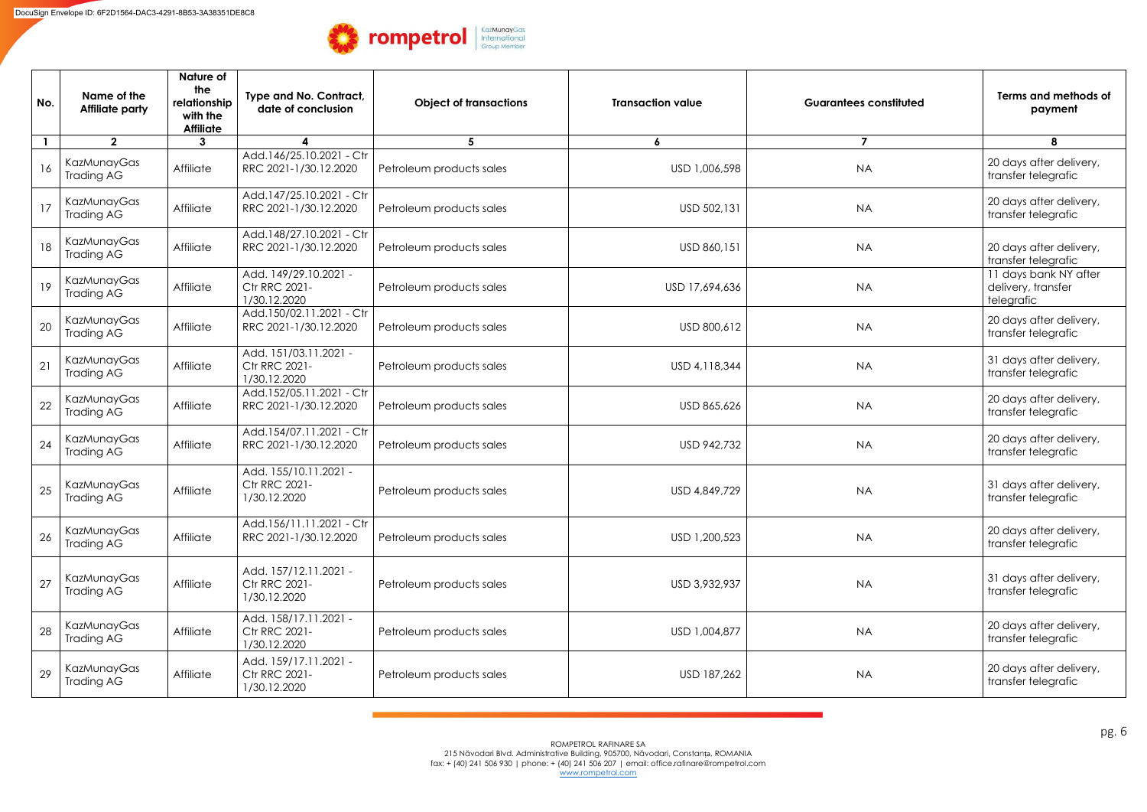| No. | Name of the<br><b>Affiliate party</b> | Nature of<br>the<br>relationship<br>with the<br><b>Affiliate</b> | Type and No. Contract,<br>date of conclusion                  | <b>Object of transactions</b> | <b>Transaction value</b> | <b>Guarantees constituted</b> | Terms and methods of<br>payment                           |
|-----|---------------------------------------|------------------------------------------------------------------|---------------------------------------------------------------|-------------------------------|--------------------------|-------------------------------|-----------------------------------------------------------|
|     | $\mathbf{2}$                          | $\mathbf{3}$                                                     | $\boldsymbol{4}$                                              | 5                             | 6                        | $\overline{7}$                | 8                                                         |
| 16  | KazMunayGas<br>Trading AG             | Affiliate                                                        | Add.146/25.10.2021 - Ctr<br>RRC 2021-1/30.12.2020             | Petroleum products sales      | USD 1,006,598            | <b>NA</b>                     | 20 days after delivery,<br>transfer telegrafic            |
| 17  | <b>KazMunayGas</b><br>Trading AG      | Affiliate                                                        | Add.147/25.10.2021 - Ctr<br>RRC 2021-1/30.12.2020             | Petroleum products sales      | USD 502,131              | <b>NA</b>                     | 20 days after delivery,<br>transfer telegrafic            |
| 18  | KazMunayGas<br><b>Trading AG</b>      | Affiliate                                                        | Add.148/27.10.2021 - Ctr<br>RRC 2021-1/30.12.2020             | Petroleum products sales      | USD 860,151              | <b>NA</b>                     | 20 days after delivery,<br>transfer telegrafic            |
| 19  | KazMunayGas<br>Trading AG             | Affiliate                                                        | Add. 149/29.10.2021 -<br><b>Ctr RRC 2021-</b><br>1/30.12.2020 | Petroleum products sales      | USD 17,694,636           | <b>NA</b>                     | 11 days bank NY after<br>delivery, transfer<br>telegrafic |
| 20  | KazMunayGas<br>Trading AG             | Affiliate                                                        | Add.150/02.11.2021 - Ctr<br>RRC 2021-1/30.12.2020             | Petroleum products sales      | USD 800,612              | <b>NA</b>                     | 20 days after delivery,<br>transfer telegrafic            |
| 21  | KazMunayGas<br>Trading AG             | Affiliate                                                        | Add. 151/03.11.2021 -<br>Ctr RRC 2021-<br>1/30.12.2020        | Petroleum products sales      | USD 4,118,344            | <b>NA</b>                     | 31 days after delivery,<br>transfer telegrafic            |
| 22  | KazMunayGas<br>Trading AG             | Affiliate                                                        | Add.152/05.11.2021 - Ctr<br>RRC 2021-1/30.12.2020             | Petroleum products sales      | USD 865,626              | <b>NA</b>                     | 20 days after delivery,<br>transfer telegrafic            |
| 24  | KazMunayGas<br>Trading AG             | Affiliate                                                        | Add.154/07.11.2021 - Ctr<br>RRC 2021-1/30.12.2020             | Petroleum products sales      | USD 942,732              | <b>NA</b>                     | 20 days after delivery,<br>transfer telegrafic            |
| 25  | KazMunayGas<br>Trading AG             | Affiliate                                                        | Add. 155/10.11.2021 -<br>Ctr RRC 2021-<br>1/30.12.2020        | Petroleum products sales      | USD 4,849,729            | <b>NA</b>                     | 31 days after delivery,<br>transfer telegrafic            |
| 26  | KazMunayGas<br>Trading AG             | Affiliate                                                        | Add.156/11.11.2021 - Ctr<br>RRC 2021-1/30.12.2020             | Petroleum products sales      | USD 1,200,523            | <b>NA</b>                     | 20 days after delivery,<br>transfer telegrafic            |
| 27  | <b>KazMunayGas</b><br>Trading AG      | Affiliate                                                        | Add. 157/12.11.2021 -<br><b>Ctr RRC 2021-</b><br>1/30.12.2020 | Petroleum products sales      | USD 3,932,937            | <b>NA</b>                     | 31 days after delivery,<br>transfer telegrafic            |
| 28  | KazMunayGas<br>Trading AG             | Affiliate                                                        | Add. 158/17.11.2021 -<br><b>Ctr RRC 2021-</b><br>1/30.12.2020 | Petroleum products sales      | USD 1,004,877            | <b>NA</b>                     | 20 days after delivery,<br>transfer telegrafic            |
| 29  | KazMunayGas<br>Trading AG             | Affiliate                                                        | Add. 159/17.11.2021 -<br><b>Ctr RRC 2021-</b><br>1/30.12.2020 | Petroleum products sales      | USD 187,262              | <b>NA</b>                     | 20 days after delivery,<br>transfer telegrafic            |

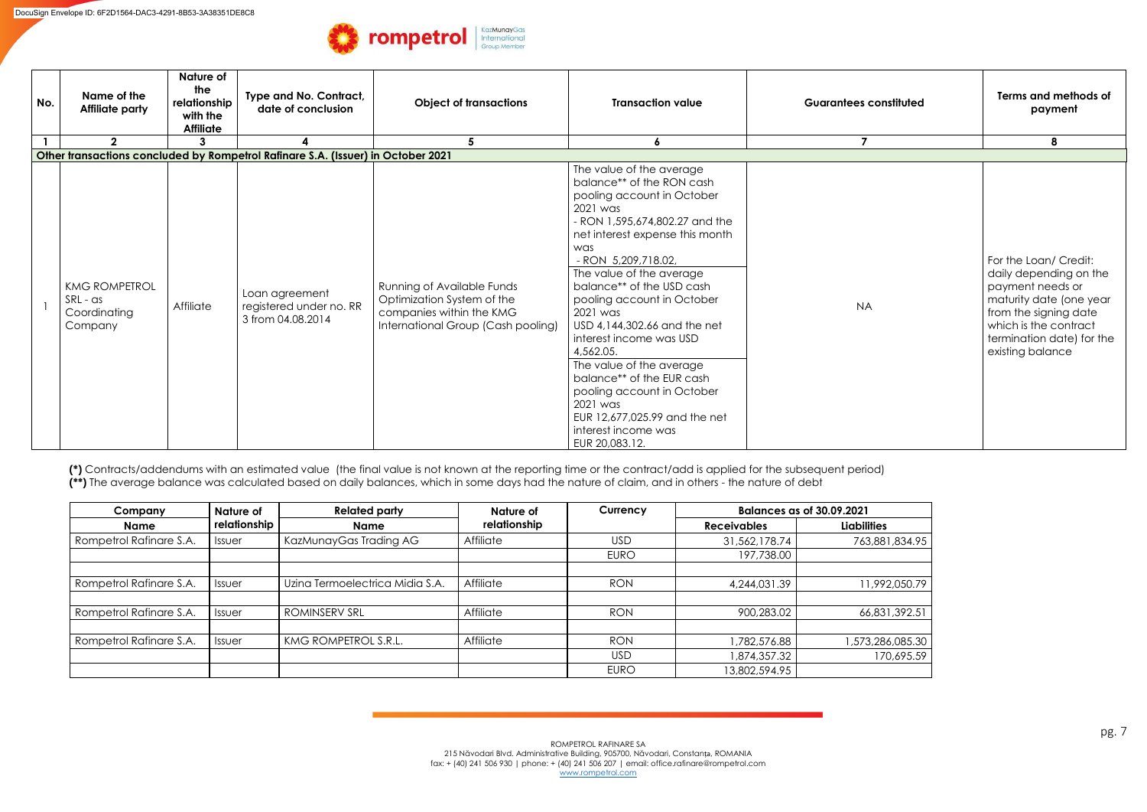| No. | Name of the<br><b>Affiliate party</b>                       | <b>Nature of</b><br>the<br>relationship<br>with the<br><b>Affiliate</b> | Type and No. Contract,<br>date of conclusion                                     | <b>Object of transactions</b>                                                                                                     | <b>Transaction value</b>                                                                                                                                                                                                                                                                                                                                                                                                                                                                                                       | <b>Guarantees constituted</b> | Terms and methods of<br>payment                                                                                                                                                                   |
|-----|-------------------------------------------------------------|-------------------------------------------------------------------------|----------------------------------------------------------------------------------|-----------------------------------------------------------------------------------------------------------------------------------|--------------------------------------------------------------------------------------------------------------------------------------------------------------------------------------------------------------------------------------------------------------------------------------------------------------------------------------------------------------------------------------------------------------------------------------------------------------------------------------------------------------------------------|-------------------------------|---------------------------------------------------------------------------------------------------------------------------------------------------------------------------------------------------|
|     | $\overline{2}$                                              | 3                                                                       | Other transactions concluded by Rompetrol Rafinare S.A. (Issuer) in October 2021 |                                                                                                                                   | $\boldsymbol{6}$                                                                                                                                                                                                                                                                                                                                                                                                                                                                                                               | $\overline{7}$                | 8                                                                                                                                                                                                 |
|     |                                                             |                                                                         |                                                                                  |                                                                                                                                   | The value of the average                                                                                                                                                                                                                                                                                                                                                                                                                                                                                                       |                               |                                                                                                                                                                                                   |
|     | <b>KMG ROMPETROL</b><br>SRL - as<br>Coordinating<br>Company | Affiliate                                                               | Loan agreement<br>registered under no. RR<br>3 from 04.08.2014                   | <b>Running of Available Funds</b><br>Optimization System of the<br>companies within the KMG<br>International Group (Cash pooling) | balance** of the RON cash<br>pooling account in October<br>2021 was<br>- RON 1,595,674,802.27 and the<br>net interest expense this month<br>was<br>- RON 5,209,718.02,<br>The value of the average<br>balance** of the USD cash<br>pooling account in October<br>2021 was<br>USD 4,144,302.66 and the net<br>interest income was USD<br>4,562.05.<br>The value of the average<br>balance** of the EUR cash<br>pooling account in October<br>2021 was<br>EUR 12,677,025.99 and the net<br>interest income was<br>EUR 20,083.12. | <b>NA</b>                     | For the Loan/ Credit:<br>daily depending on the<br>payment needs or<br>maturity date (one year<br>from the signing date<br>which is the contract<br>termination date) for the<br>existing balance |

**(\*)** Contracts/addendums with an estimated value (the final value is not known at the reporting time or the contract/add is applied for the subsequent period) **(\*\*)** The average balance was calculated based on daily balances, which in some days had the nature of claim, and in others - the nature of debt

| Company                 | Nature of     | <b>Related party</b>            | Nature of        | Currency    | <b>Balances as of 30.09.2021</b> |                    |
|-------------------------|---------------|---------------------------------|------------------|-------------|----------------------------------|--------------------|
| <b>Name</b>             | relationship  | <b>Name</b>                     | relationship     |             | <b>Receivables</b>               | <b>Liabilities</b> |
| Rompetrol Rafinare S.A. | <b>Issuer</b> | KazMunayGas Trading AG          | <b>Affiliate</b> | <b>USD</b>  | 31,562,178.74                    | 763,881,834.95     |
|                         |               |                                 |                  | <b>EURO</b> | 197,738.00                       |                    |
| Rompetrol Rafinare S.A. | Issuer        | Uzina Termoelectrica Midia S.A. | Affiliate        | <b>RON</b>  | 4,244,031.39                     | 11,992,050.79      |
| Rompetrol Rafinare S.A. | <b>Issuer</b> | <b>ROMINSERV SRL</b>            | Affiliate        | <b>RON</b>  | 900,283.02                       | 66,831,392.51      |
| Rompetrol Rafinare S.A. | <b>Issuer</b> | KMG ROMPETROL S.R.L.            | <b>Affiliate</b> | <b>RON</b>  | ,782,576.88                      | 1,573,286,085.30   |
|                         |               |                                 |                  | <b>USD</b>  | 874, 357. 32                     | 170,695.59         |
|                         |               |                                 |                  | <b>EURO</b> | 13,802,594.95                    |                    |

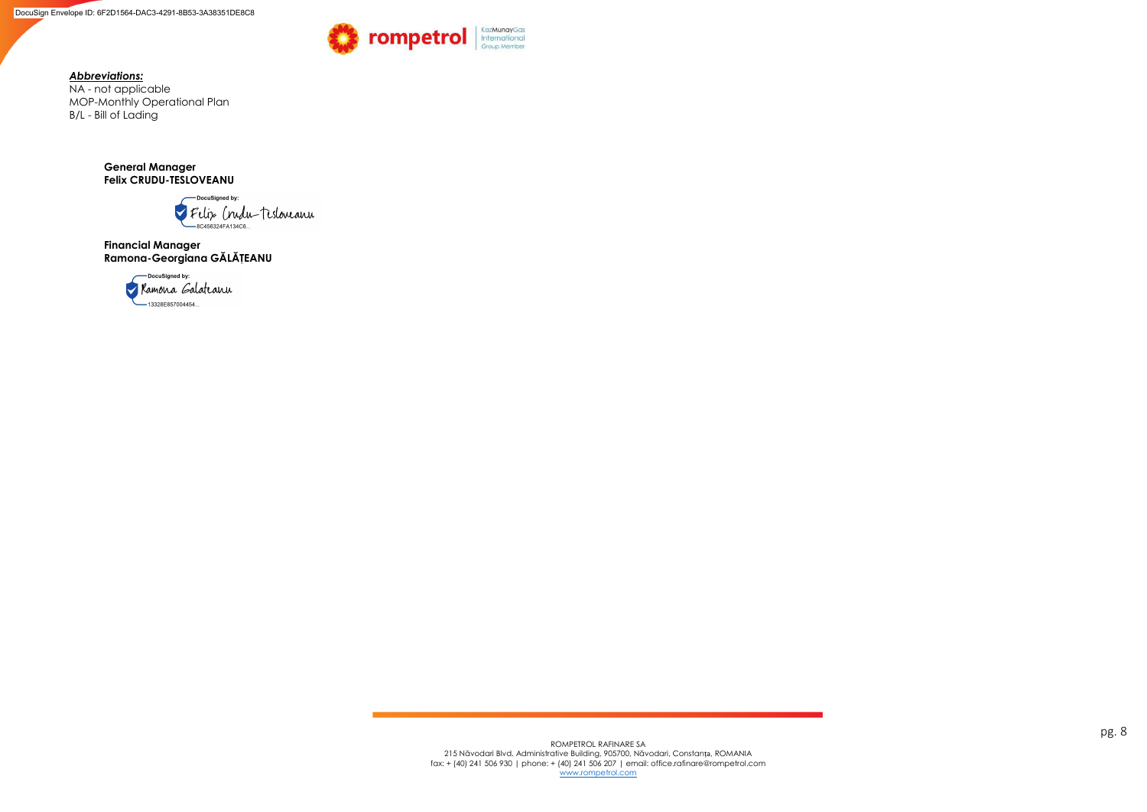pg. 8

*Abbreviations:* 

NA - not applicable MOP-Monthly Operational Plan B/L - Bill of Lading

> **General Manager Felix CRUDU-TESLOVEANU**



**Financial Manager Ramona-Georgiana GĂLĂŢEANU** 



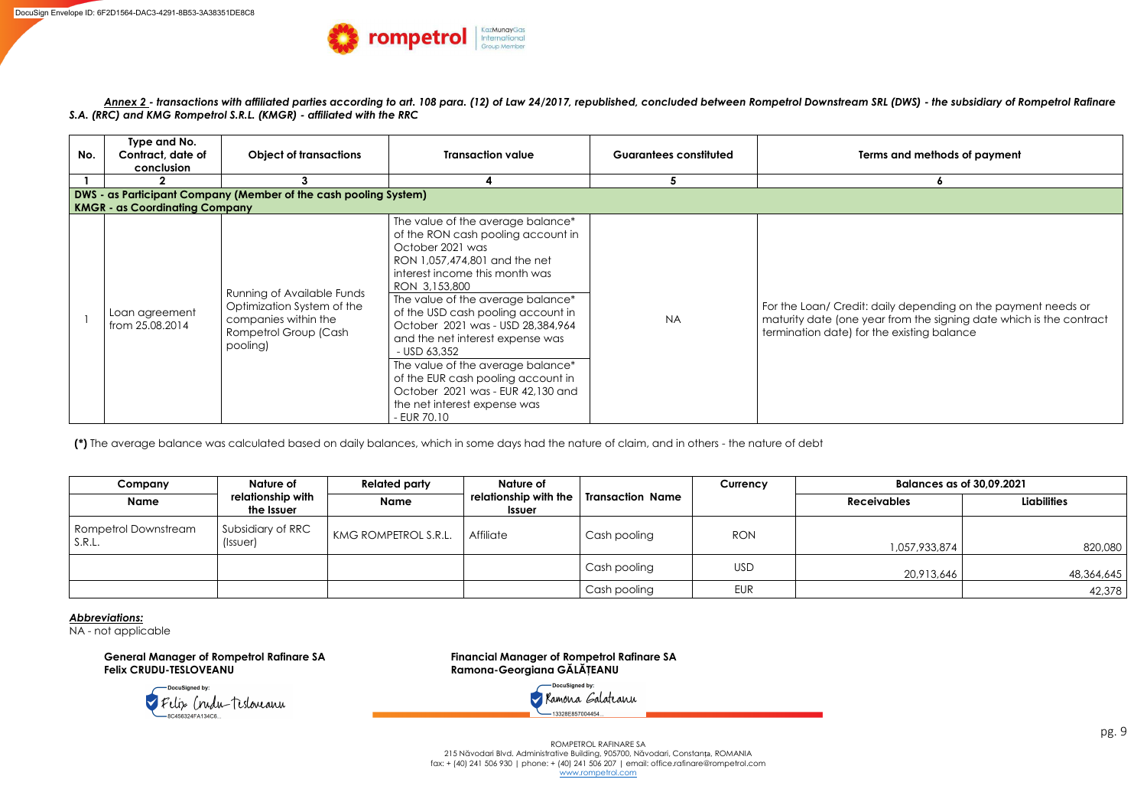pg. 9

ROMPETROL RAFINARE SA 215 Năvodari Blvd. Administrative Building, 905700, Năvodari, Constanța, ROMANIA fax: + (40) 241 506 930 | phone: + (40) 241 506 207 | email: office.rafinare@rompetrol.com [www.rompetrol.com](http://www.rompetrol.com/) 

*Annex 2 - transactions with affiliated parties according to art. 108 para. (12) of Law 24/2017, republished, concluded between Rompetrol Downstream SRL (DWS) - the subsidiary of Rompetrol Rafinare S.A. (RRC) and KMG Rompetrol S.R.L. (KMGR) - affiliated with the RRC*



| No. | Type and No.<br>Contract, date of<br>conclusion                  | <b>Object of transactions</b>                                                                                                | <b>Transaction value</b>                                                                                                                                                                                                                                                                                                                                                                                                                                                      | <b>Guarantees constituted</b> | <b>Terms and metho</b>                                                                                                |  |  |  |  |  |
|-----|------------------------------------------------------------------|------------------------------------------------------------------------------------------------------------------------------|-------------------------------------------------------------------------------------------------------------------------------------------------------------------------------------------------------------------------------------------------------------------------------------------------------------------------------------------------------------------------------------------------------------------------------------------------------------------------------|-------------------------------|-----------------------------------------------------------------------------------------------------------------------|--|--|--|--|--|
|     |                                                                  |                                                                                                                              |                                                                                                                                                                                                                                                                                                                                                                                                                                                                               | 5                             |                                                                                                                       |  |  |  |  |  |
|     | DWS - as Participant Company (Member of the cash pooling System) |                                                                                                                              |                                                                                                                                                                                                                                                                                                                                                                                                                                                                               |                               |                                                                                                                       |  |  |  |  |  |
|     | <b>KMGR - as Coordinating Company</b>                            |                                                                                                                              | The value of the average balance*                                                                                                                                                                                                                                                                                                                                                                                                                                             |                               |                                                                                                                       |  |  |  |  |  |
|     | Loan agreement<br>from 25.08.2014                                | <b>Running of Available Funds</b><br>Optimization System of the<br>companies within the<br>Rompetrol Group (Cash<br>pooling) | of the RON cash pooling account in<br>October 2021 was<br>RON 1,057,474,801 and the net<br>interest income this month was<br>RON 3,153,800<br>The value of the average balance*<br>of the USD cash pooling account in<br>October 2021 was - USD 28,384,964<br>and the net interest expense was<br>- USD 63.352<br>The value of the average balance*<br>of the EUR cash pooling account in<br>October 2021 was - EUR 42,130 and<br>the net interest expense was<br>- EUR 70.10 | <b>NA</b>                     | For the Loan/ Credit: daily dependir<br>maturity date (one year from the sig<br>termination date) for the existing bo |  |  |  |  |  |

**(\*)** The average balance was calculated based on daily balances, which in some days had the nature of claim, and in others - the nature of debt

| Company                        | Nature of                            |                      | Nature of                              |                         | <b>Currency</b> | <b>Balances as of 30,09.2021</b> |                    |
|--------------------------------|--------------------------------------|----------------------|----------------------------------------|-------------------------|-----------------|----------------------------------|--------------------|
| <b>Name</b>                    | relationship with<br>the Issuer      | <b>Name</b>          | relationship with the<br><b>Issuer</b> | <b>Transaction Name</b> |                 | <b>Receivables</b>               | <b>Liabilities</b> |
| Rompetrol Downstream<br>S.R.L. | Subsidiary of RRC<br>$(Iss \cup er)$ | KMG ROMPETROL S.R.L. | Affiliate                              | Cash pooling            | <b>RON</b>      | 1,057,933,874                    | 820,080            |
|                                |                                      |                      |                                        | Cash pooling            | <b>USD</b>      | 20,913,646                       | 48,364,645         |
|                                |                                      |                      |                                        | Cash pooling            | <b>EUR</b>      |                                  | 42,378             |

*Abbreviations:* 

NA - not applicable



**General Manager of Rompetrol Rafinare SA Financial Manager of Rompetrol Rafinare SA Felix CRUDU-TESLOVEANU Ramona-Georgiana GĂLĂŢEANU** 

> DocuSianed by Xamona Galateanu -13328E857004454.

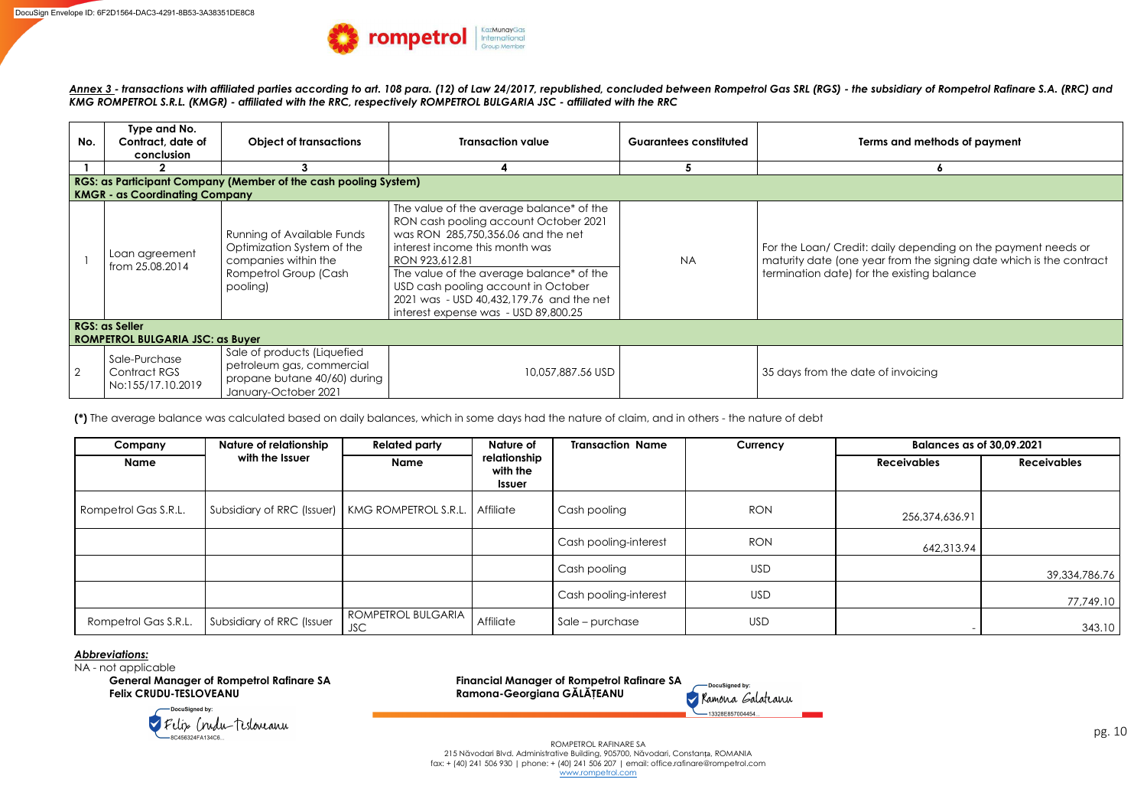pg. 10

ROMPETROL RAFINARE SA 215 Năvodari Blvd. Administrative Building, 905700, Năvodari, Constanța, ROMANIA fax: + (40) 241 506 930 | phone: + (40) 241 506 207 | email: office.rafinare@rompetrol.com [www.rompetrol.com](http://www.rompetrol.com/) 

*Annex 3 - transactions with affiliated parties according to art. 108 para. (12) of Law 24/2017, republished, concluded between Rompetrol Gas SRL (RGS) - the subsidiary of Rompetrol Rafinare S.A. (RRC) and KMG ROMPETROL S.R.L. (KMGR) - affiliated with the RRC, respectively ROMPETROL BULGARIA JSC - affiliated with the RRC* 

| No.            | Type and No.<br>Contract, date of<br>conclusion    | <b>Object of transactions</b><br><b>Transaction value</b><br>3                                                        |                                                                                                                                                                                                                                                                                                                                                    | <b>Guarantees constituted</b> | <b>Terms and metho</b>                                                                                                   |
|----------------|----------------------------------------------------|-----------------------------------------------------------------------------------------------------------------------|----------------------------------------------------------------------------------------------------------------------------------------------------------------------------------------------------------------------------------------------------------------------------------------------------------------------------------------------------|-------------------------------|--------------------------------------------------------------------------------------------------------------------------|
|                |                                                    | RGS: as Participant Company (Member of the cash pooling System)                                                       |                                                                                                                                                                                                                                                                                                                                                    |                               |                                                                                                                          |
|                | <b>KMGR - as Coordinating Company</b>              |                                                                                                                       |                                                                                                                                                                                                                                                                                                                                                    |                               |                                                                                                                          |
|                | Loan agreement<br>from 25.08.2014                  | Running of Available Funds<br>Optimization System of the<br>companies within the<br>Rompetrol Group (Cash<br>pooling) | The value of the average balance* of the<br>RON cash pooling account October 2021<br>was RON 285,750,356.06 and the net<br>interest income this month was<br>RON 923,612.81<br>The value of the average balance* of the<br>USD cash pooling account in October<br>2021 was - USD 40,432,179.76 and the net<br>interest expense was - USD 89,800.25 | <b>NA</b>                     | For the Loan/ Credit: daily dependir<br>maturity date (one year from the signal<br>termination date) for the existing bo |
|                | <b>RGS: as Seller</b>                              |                                                                                                                       |                                                                                                                                                                                                                                                                                                                                                    |                               |                                                                                                                          |
|                | <b>ROMPETROL BULGARIA JSC: as Buyer</b>            |                                                                                                                       |                                                                                                                                                                                                                                                                                                                                                    |                               |                                                                                                                          |
| $\overline{2}$ | Sale-Purchase<br>Contract RGS<br>No:155/17.10.2019 | Sale of products (Liquefied<br>petroleum gas, commercial<br>propane butane 40/60) during<br>January-October 2021      | 10,057,887.56 USD                                                                                                                                                                                                                                                                                                                                  |                               | 35 days from the date of invoicing                                                                                       |



**(\*)** The average balance was calculated based on daily balances, which in some days had the nature of claim, and in others - the nature of debt

| Company              | <b>Nature of relationship</b>                                 | <b>Related party</b>             | Nature of                                 | <b>Transaction Name</b> | Currency   | <b>Balances as of 30,09.2021</b> |                    |
|----------------------|---------------------------------------------------------------|----------------------------------|-------------------------------------------|-------------------------|------------|----------------------------------|--------------------|
| <b>Name</b>          | with the Issuer                                               | <b>Name</b>                      | relationship<br>with the<br><b>Issuer</b> |                         |            | <b>Receivables</b>               | <b>Receivables</b> |
| Rompetrol Gas S.R.L. | Subsidiary of RRC (Issuer)   KMG ROMPETROL S.R.L.   Affiliate |                                  |                                           | Cash pooling            | <b>RON</b> | 256,374,636.91                   |                    |
|                      |                                                               |                                  |                                           | Cash pooling-interest   | <b>RON</b> | 642,313.94                       |                    |
|                      |                                                               |                                  |                                           | Cash pooling            | <b>USD</b> |                                  | 39,334,786.76      |
|                      |                                                               |                                  |                                           | Cash pooling-interest   | <b>USD</b> |                                  | 77,749.10          |
| Rompetrol Gas S.R.L. | Subsidiary of RRC (Issuer                                     | ROMPETROL BULGARIA<br><b>JSC</b> | Affiliate                                 | Sale – purchase         | <b>USD</b> |                                  | 343.10             |

# *Abbreviations:*

NA - not applicable **General Manager of Rompetrol Rafinare SA Financial Manager of Rompetrol Rafinare SA** 

**Felix CRUDU-TESLOVEANU Ramona-Georgiana GĂLĂŢEANU** 



V Felix Crudu-Tesloveanu -<br>8C456324FA134C6..

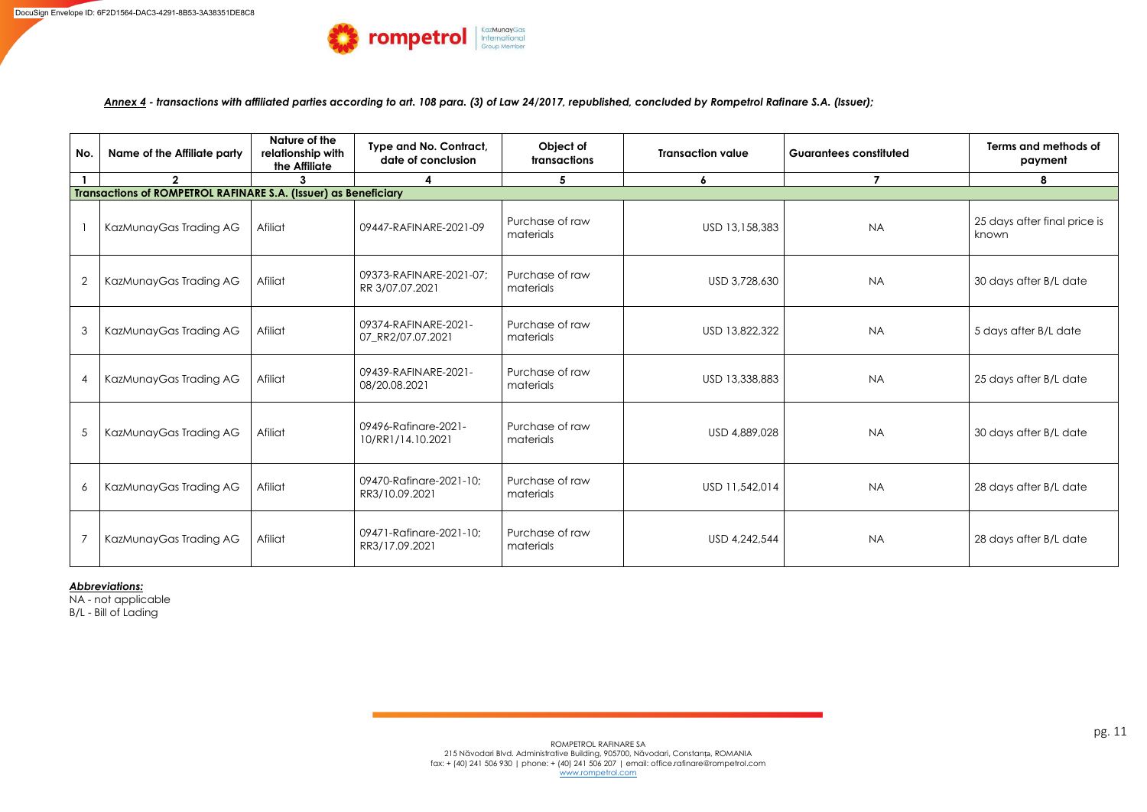*Annex 4 - transactions with affiliated parties according to art. 108 para. (3) of Law 24/2017, republished, concluded by Rompetrol Rafinare S.A. (Issuer);* 

| No.             | <b>Name of the Affiliate party</b>                              | Nature of the<br>relationship with<br>the Affiliate | Type and No. Contract,<br>date of conclusion | Object of<br>transactions    | <b>Transaction value</b> | <b>Guarantees constituted</b> | Terms and methods of<br>payment       |  |  |
|-----------------|-----------------------------------------------------------------|-----------------------------------------------------|----------------------------------------------|------------------------------|--------------------------|-------------------------------|---------------------------------------|--|--|
|                 | $\overline{2}$                                                  | 3                                                   | 4                                            | $5\overline{)}$              | 6                        | $\overline{\mathbf{z}}$       | 8                                     |  |  |
|                 | Transactions of ROMPETROL RAFINARE S.A. (Issuer) as Beneficiary |                                                     |                                              |                              |                          |                               |                                       |  |  |
|                 | KazMunayGas Trading AG                                          | Afiliat                                             | 09447-RAFINARE-2021-09                       | Purchase of raw<br>materials | USD 13,158,383           | <b>NA</b>                     | 25 days after final price is<br>known |  |  |
| $\overline{2}$  | KazMunayGas Trading AG                                          | Afiliat                                             | 09373-RAFINARE-2021-07;<br>RR 3/07.07.2021   | Purchase of raw<br>materials | USD 3,728,630            | <b>NA</b>                     | 30 days after B/L date                |  |  |
| 3               | KazMunayGas Trading AG                                          | Afiliat                                             | 09374-RAFINARE-2021-<br>07_RR2/07.07.2021    | Purchase of raw<br>materials | USD 13,822,322           | <b>NA</b>                     | 5 days after B/L date                 |  |  |
|                 | KazMunayGas Trading AG                                          | Afiliat                                             | 09439-RAFINARE-2021-<br>08/20.08.2021        | Purchase of raw<br>materials | USD 13,338,883           | <b>NA</b>                     | 25 days after B/L date                |  |  |
| $5\overline{)}$ | KazMunayGas Trading AG                                          | Afiliat                                             | 09496-Rafinare-2021-<br>10/RR1/14.10.2021    | Purchase of raw<br>materials | USD 4,889,028            | <b>NA</b>                     | 30 days after B/L date                |  |  |
| 6               | KazMunayGas Trading AG                                          | Afiliat                                             | 09470-Rafinare-2021-10;<br>RR3/10.09.2021    | Purchase of raw<br>materials | USD 11,542,014           | <b>NA</b>                     | 28 days after B/L date                |  |  |
|                 | KazMunayGas Trading AG                                          | Afiliat                                             | 09471-Rafinare-2021-10;<br>RR3/17.09.2021    | Purchase of raw<br>materials | USD 4,242,544            | <b>NA</b>                     | 28 days after B/L date                |  |  |

*Abbreviations:* 

NA - not applicable B/L - Bill of Lading

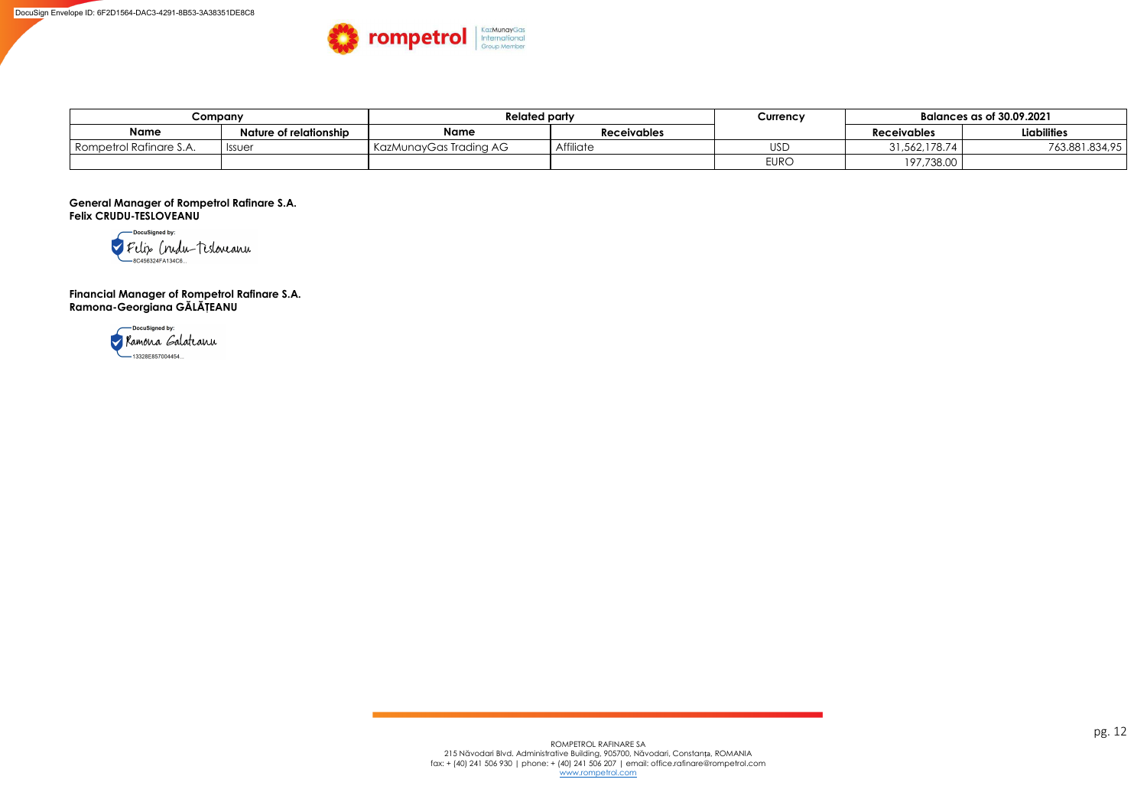| Company                   |                        | <b>Related party</b>   |                    | Currency    | <b>Balances as of 30.09.2021</b> |                    |
|---------------------------|------------------------|------------------------|--------------------|-------------|----------------------------------|--------------------|
| <b>Name</b>               | Nature of relationship | <b>Name</b>            | <b>Receivables</b> |             | <b>Receivables</b>               | <b>Liabilities</b> |
| I Rompetrol Rafinare S.A. | <b>Issuer</b>          | KazMunayGas Trading AG | Affiliate          | <b>USD</b>  | ا 1,562,178.74 اد                | 763.881.834,95     |
|                           |                        |                        |                    | <b>EURO</b> | 197,738.00                       |                    |

**General Manager of Rompetrol Rafinare S.A. Felix CRUDU-TESLOVEANU** 



**Financial Manager of Rompetrol Rafinare S.A. Ramona-Georgiana GĂLĂŢEANU**